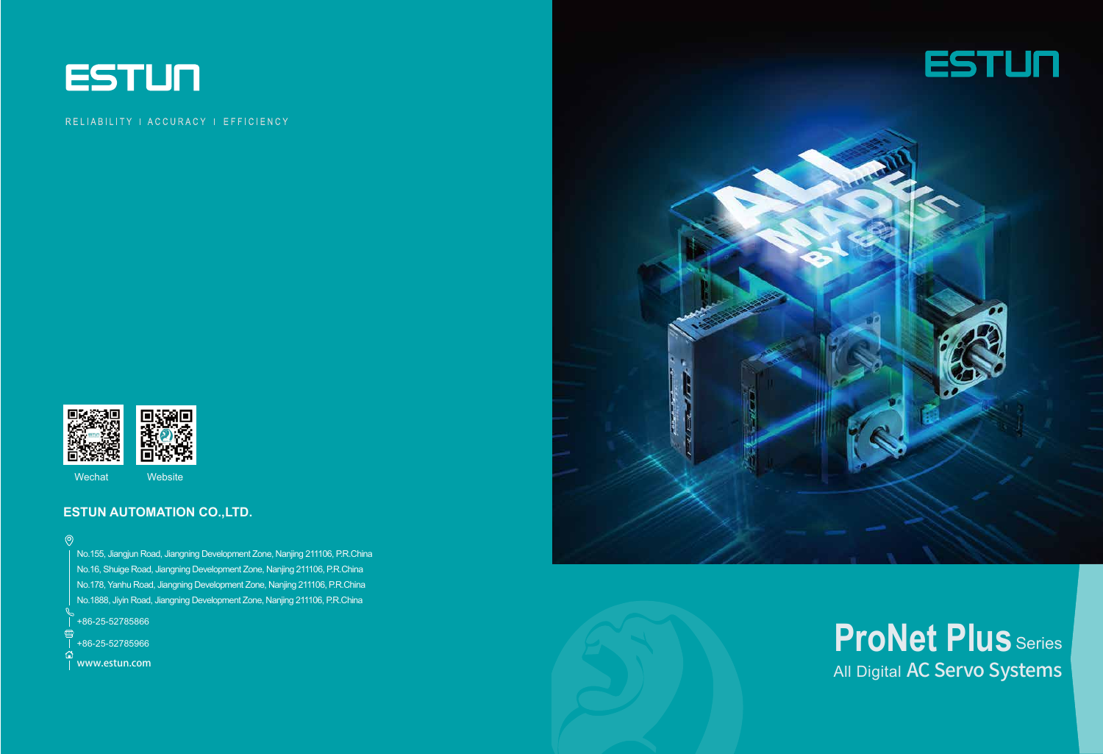

#### RELIABILITY | ACCURACY | EFFICIENCY



Wechat Website

#### **ESTUN AUTOMATION CO.,LTD.**

 $\circledcirc$ 

把 www.estun.com



No.155, Jiangjun Road, Jiangning Development Zone, Nanjing 211106, P.R.China No.16, Shuige Road, Jiangning Development Zone, Nanjing 211106, P.R.China No.178, Yanhu Road, Jiangning Development Zone, Nanjing 211106, P.R.China No.1888, Jiyin Road, Jiangning Development Zone, Nanjing 211106, P.R.China

+86-25-52785866



# All Digital AC Servo Systems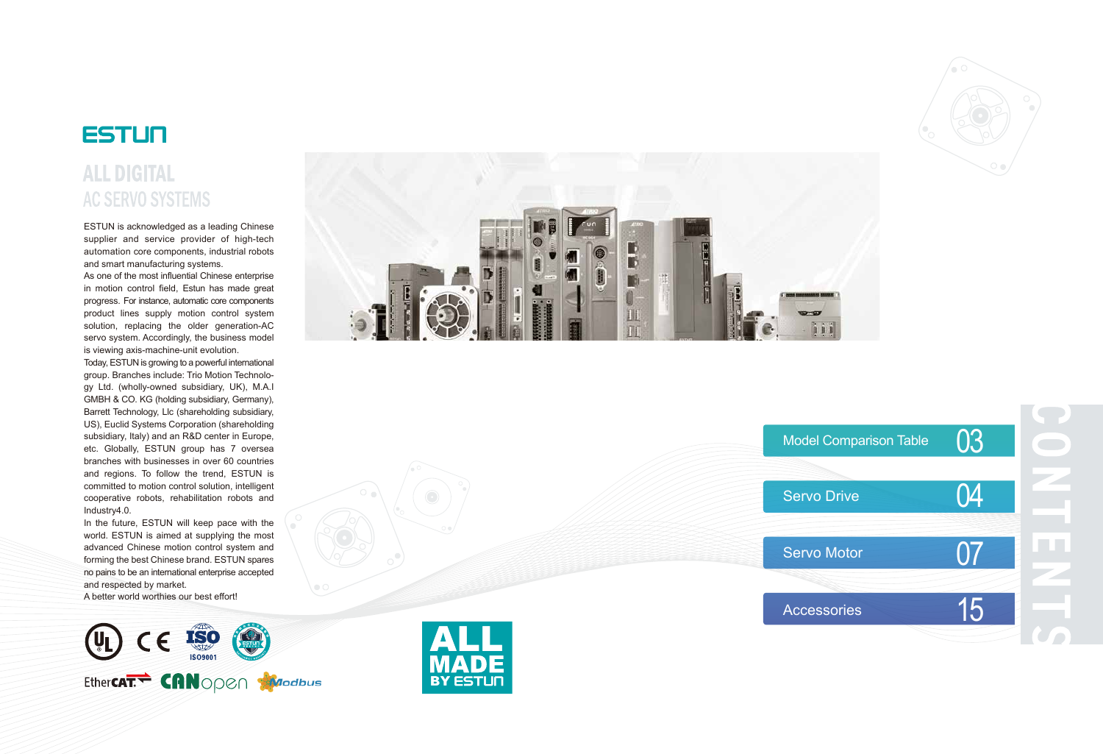

# **ALL DIGITAL AC SERVO SYSTEMS**

ESTUN is acknowledged as a leading Chinese supplier and service provider of high-tech automation core components, industrial robots and smart manufacturing systems.

As one of the most influential Chinese enterprise in motion control field, Estun has made great progress. For instance, automatic core components product lines supply motion control system solution, replacing the older generation-AC servo system. Accordingly, the business model is viewing axis-machine-unit evolution.



Today, ESTUN is growing to a powerful international group. Branches include: Trio Motion Technolo gy Ltd. (wholly-owned subsidiary, UK), M.A.I GMBH & CO. KG (holding subsidiary, Germany), Barrett Technology, Llc (shareholding subsidiary, US), Euclid Systems Corporation (shareholding subsidiary, Italy) and an R&D center in Europe, etc. Globally, ESTUN group has 7 oversea branches with businesses in over 60 countries and regions. To follow the trend, ESTUN is committed to motion control solution, intelligent cooperative robots, rehabilitation robots and Industry4.0.

In the future, ESTUN will keep pace with the world. ESTUN is aimed at supplying the most advanced Chinese motion control system and forming the best Chinese brand. ESTUN spares no pains to be an international enterprise accepted and respected by market.

A better world worthies our best effort!







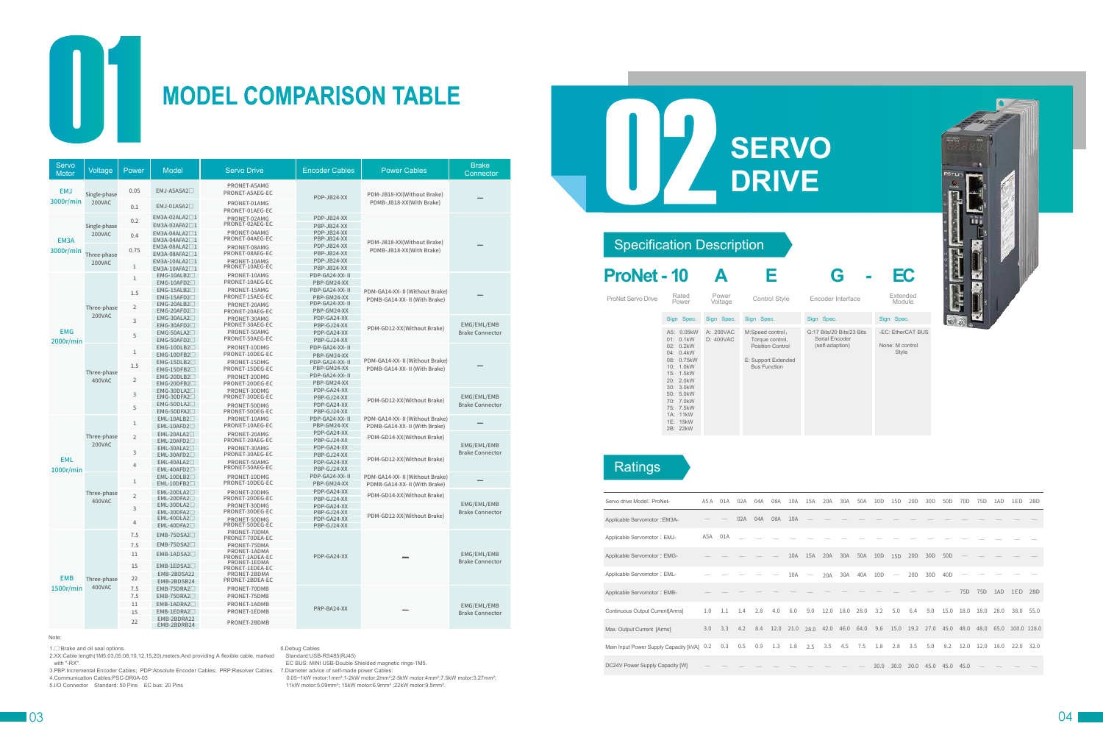

# **MODEL COMPARISON TABLE**

| <b>ProNet - 10</b> |                                                                                                                                                                                                 | А                      | Е                                                                                                            | G                                                              | EC                                        |
|--------------------|-------------------------------------------------------------------------------------------------------------------------------------------------------------------------------------------------|------------------------|--------------------------------------------------------------------------------------------------------------|----------------------------------------------------------------|-------------------------------------------|
| ProNet Servo Drive | Rated<br>Power                                                                                                                                                                                  | Power<br>Voltage       | Control Style                                                                                                | Encoder Interface                                              | Extended<br>Module                        |
|                    | Sign Spec.                                                                                                                                                                                      | Sign Spec.             | Sign Spec.                                                                                                   | Sign Spec.                                                     | Sign Spec.                                |
|                    | A5: 0.05kW<br>01: 0.1kW<br>02: 0.2kW<br>04: 0.4kW<br>08: 0.75 kW<br>10: 1.0kW<br>15: 1.5kW<br>20: 2.0kW<br>30: 3.0kW<br>50: 5.0kW<br>70: 7.0kW<br>75: 7.5kW<br>1A: 11kW<br>1E: 15kW<br>2B: 22kW | A: 200VAC<br>D: 400VAC | M:Speed control,<br>Torque control,<br><b>Position Control</b><br>E: Support Extended<br><b>Bus Function</b> | G:17 Bits/20 Bits/23 Bits<br>Serial Encoder<br>(self-adaption) | -EC: EtherCAT<br>None: M control<br>Style |

## **Ratings**

Sign Spec. -EC: EtherCAT BUS None: M control Style



#### Specification Description

1.⊟:Brake and oil seal options.<br>2.XX:Cable length(1M5,03,05,08,10,12,15,20),meters.And providing A flexible cable, marked with "-RX".

| Servo drive Model: ProNet-                 | A5 A | 01A | 02A | 04A | 08A  | 10A  | 15A  | 20A  | 30A  | 50A  | 10 <sub>D</sub> | 15D             | 20 <sub>D</sub> | 30 <sub>D</sub> | 50 <sub>D</sub> | 70 <sub>D</sub> | 75D  | 1AD  | 1ED         | 2 <sub>BD</sub> |
|--------------------------------------------|------|-----|-----|-----|------|------|------|------|------|------|-----------------|-----------------|-----------------|-----------------|-----------------|-----------------|------|------|-------------|-----------------|
| Applicable Servomotor: EM3A-               |      |     | 02A | 04A | 08A  | 10A  |      |      |      |      |                 |                 |                 |                 |                 |                 |      |      |             |                 |
| Applicable Servomotor: EMJ-                | A5A  | 01A |     |     |      |      |      |      |      |      |                 |                 |                 |                 |                 |                 |      |      |             |                 |
| Applicable Servomotor: EMG-                |      |     |     |     |      | 10A  | 15A  | 20A  | 30A  | 50A  | 10D             | 15 <sub>D</sub> | 20 <sub>D</sub> | 30 <sub>D</sub> | 50 <sub>D</sub> |                 |      |      |             |                 |
| Applicable Servomotor: EML-                |      |     |     |     |      | 10A  |      | 20A  | 30A  | 40A  | 10D             |                 | 20 <sub>D</sub> | 30 <sub>D</sub> | 40 <sub>D</sub> |                 |      |      |             |                 |
| Applicable Servomotor: EMB-                |      |     |     |     |      |      |      |      |      |      |                 |                 |                 |                 |                 | 75D             | 75D  | 1AD  | 1ED         | 2BD             |
| Continuous Output Current[Arms]            | 1.0  | 1.1 | 1.4 | 2.8 | 4.0  | 6.0  | 9.0  | 12.0 | 18.0 | 28.0 | 3.2             | 5.0             | 6.4             | 9.0             | 15.0            | 18.0            | 18.0 | 28.0 | 38.0        | 55.0            |
| Max. Output Current [Arms]                 | 3.0  | 3.3 | 4.2 | 8.4 | 12.0 | 21.0 | 28.0 | 42.0 | 46.0 | 64.0 | 9.6             | 15.0            | 19.2            | 27.0            | 45.0            | 48.0            | 48.0 | 65.0 | 100.0 128.0 |                 |
| Main Input Power Supply Capacity [kVA] 0.2 |      | 0.3 | 0.5 | 0.9 | 1.3  | 1.8  | 2.5  | 3.5  | 4.5  | 7.5  | 1.8             | 2.8             | 3.5             | 5.0             | 8.2             | 12.0            | 12.0 | 18.0 | 22.0        | 32.0            |
| DC24V Power Supply Capacity [W]            |      |     |     |     |      |      |      |      |      |      | 30.0            | 30.0            | 30.0            | 45.0            | 45.0            | 45.0            |      |      |             |                 |





Note:

3.PBP:Incremental Encoder Cables; PDP:Absolute Encoder Cables; PRP:Resolver Cables. 7.Diameter advice of self-made power Cables: 4.Communication Cables:PSC-DR0A-03

5.I/O Connector Standard: 50 Pins EC bus: 20 Pins

6.Debug Cables Standard:USB-RS485(RJ45)

EC BUS: MINI USB-Double Shielded magnetic rings-1M5.

 0.05~1kW motor:1mm²;1-2kW motor:2mm²;2-5kW motor:4mm²;7.5kW motor:3.27mm²; 11kW motor:5.09mm²; 15kW motor:6.9mm² ;22kW motor:9.5mm².



| Servo<br><b>Motor</b> | Voltage                | Power          | Model                                                | <b>Servo Drive</b>              | <b>Encoder Cables</b>         | <b>Power Cables</b>                                              | <b>Brake</b><br>Connector             |  |
|-----------------------|------------------------|----------------|------------------------------------------------------|---------------------------------|-------------------------------|------------------------------------------------------------------|---------------------------------------|--|
| <b>EMJ</b>            | Single-phase           | 0.05           | EMJ-A5ASA2 <sup>1</sup>                              | PRONET-A5AMG<br>PRONET-A5AEG-EC | PDP-JB24-XX                   | PDM-JB18-XX(Without Brake)                                       |                                       |  |
| 3000r/min             | 200VAC                 | 0.1            | EMJ-01ASA2 <sup></sup>                               | PRONET-01AMG<br>PRONET-01AEG-EC |                               | PDMB-JB18-XX(With Brake)                                         |                                       |  |
|                       |                        | 0.2            | EM3A-02ALA2 <sup>1</sup>                             | PRONET-02AMG<br>PRONET-02AEG-EC | PDP-JB24-XX                   |                                                                  |                                       |  |
|                       | Single-phase<br>200VAC | 0.4            | EM3A-02AFA2 <sup>1</sup><br>EM3A-04ALA2 <sup>1</sup> | PRONET-04AMG                    | PBP-JB24-XX<br>PDP-JB24-XX    |                                                                  |                                       |  |
| EM <sub>3</sub> A     |                        |                | EM3A-04AFA2 <sup>1</sup><br>$EM3A-08ALA2 \square 1$  | PRONET-04AEG-EC<br>PRONET-08AMG | PBP-JB24-XX<br>PDP-JB24-XX    | PDM-JB18-XX(Without Brake)                                       |                                       |  |
| 3000r/min             | Three-phase            | 0.75           | EM3A-08AFA2 <sup>1</sup><br>EM3A-10ALA2 <sup>1</sup> | PRONET-08AEG-EC<br>PRONET-10AMG | PBP-JB24-XX<br>PDP-JB24-XX    | PDMB-JB18-XX(With Brake)                                         |                                       |  |
|                       | 200VAC                 | $\mathbf{1}$   | EM3A-10AFA2 <sup>1</sup>                             | PRONET-10AEG-EC                 | PBP-JB24-XX                   |                                                                  |                                       |  |
|                       |                        | $\mathbf{1}$   | $EMG-10ALB2$<br>$EMG-10AFD2$                         | PRONET-10AMG<br>PRONET-10AEG-EC | PDP-GA24-XX-II<br>PBP-GM24-XX |                                                                  |                                       |  |
|                       |                        | 1.5            | $EMG-15ALB2$<br>$EMG-15AFD2$                         | PRONET-15AMG<br>PRONET-15AEG-EC | PDP-GA24-XX-II<br>PBP-GM24-XX | PDM-GA14-XX-II (Without Brake)                                   |                                       |  |
|                       | Three-phase            | $\overline{2}$ | $EMG-20ALB2$                                         | PRONET-20AMG                    | PDP-GA24-XX-II                | PDMB-GA14-XX- II (With Brake)                                    |                                       |  |
|                       | 200VAC                 | 3              | $EMG-20AFD2$<br>$EMG-30ALA2$                         | PRONET-20AEG-EC<br>PRONET-30AMG | PBP-GM24-XX<br>PDP-GA24-XX    |                                                                  |                                       |  |
| <b>EMG</b>            |                        |                | $EMG-30AFD2$<br>$EMG-50ALA2$                         | PRONET-30AEG-EC<br>PRONET-50AMG | PBP-GJ24-XX<br>PDP-GA24-XX    | PDM-GD12-XX(Without Brake)                                       | EMG/EML/EMB<br><b>Brake Connector</b> |  |
| 2000r/min             |                        | 5              | $EMG-50AFD2$                                         | PRONET-50AEG-EC                 | PBP-GJ24-XX                   |                                                                  |                                       |  |
|                       |                        | $\mathbf{1}$   | $EMG-10DLB2$<br>$EMG-10DFB2$                         | PRONET-10DMG<br>PRONET-10DEG-EC | PDP-GA24-XX-II<br>PBP-GM24-XX |                                                                  |                                       |  |
|                       |                        | 1.5            | $EMG-15DLB2$                                         | PRONET-15DMG<br>PRONET-15DEG-EC | PDP-GA24-XX-II<br>PBP-GM24-XX | PDM-GA14-XX-II (Without Brake)<br>PDMB-GA14-XX- II (With Brake)  |                                       |  |
|                       | Three-phase<br>400VAC  | $\overline{2}$ | $EMG-15DFB2$<br>EMG-20DLB2 <sup>1</sup>              | PRONET-20DMG                    | PDP-GA24-XX-II                |                                                                  |                                       |  |
|                       |                        |                | $EMG-20DFB2\square$<br>$EMG-30DLA2$                  | PRONET-20DEG-EC<br>PRONET-30DMG | PBP-GM24-XX<br>PDP-GA24-XX    |                                                                  |                                       |  |
|                       |                        | 3              | $EMG-30DFA2$<br>$EMG-50DLA2$                         | PRONET-30DEG-EC<br>PRONET-50DMG | PBP-GJ24-XX<br>PDP-GA24-XX    | PDM-GD12-XX(Without Brake)                                       | EMG/EML/EMB<br><b>Brake Connector</b> |  |
|                       |                        | 5              | EMG-50DFA2                                           | PRONET-50DEG-EC                 | PBP-GJ24-XX                   |                                                                  |                                       |  |
|                       |                        | $\mathbf{1}$   | $EML-10ALB2$<br>EML-10AFD2                           | PRONET-10AMG<br>PRONET-10AEG-EC | PDP-GA24-XX-II<br>PBP-GM24-XX | PDM-GA14-XX- II (Without Brake)<br>PDMB-GA14-XX- II (With Brake) |                                       |  |
|                       | Three-phase            | $\overline{2}$ | $EML-20ALA2$<br>EML-20AFD2                           | PRONET-20AMG<br>PRONET-20AEG-EC | PDP-GA24-XX<br>PBP-GJ24-XX    | PDM-GD14-XX(Without Brake)                                       |                                       |  |
|                       | 200VAC                 | 3              | $EML-30ALA2$                                         | PRONET-30AMG<br>PRONET-30AEG-EC | PDP-GA24-XX                   |                                                                  | EMG/EML/EMB<br><b>Brake Connector</b> |  |
| <b>EML</b>            |                        | $\overline{4}$ | EML-30AFD2 <sup>[]</sup><br>$EML-40ALA2$             | PRONET-50AMG                    | PBP-GJ24-XX<br>PDP-GA24-XX    | PDM-GD12-XX(Without Brake)                                       |                                       |  |
| 1000r/min             |                        |                | EML-40AFD2<br>$EML-10DLB2$                           | PRONET-50AEG-EC<br>PRONET-10DMG | PBP-GJ24-XX<br>PDP-GA24-XX-II | PDM-GA14-XX- II (Without Brake)                                  |                                       |  |
|                       |                        | 1              | EML-10DFB2                                           | PRONET-10DEG-EC                 | PBP-GM24-XX                   | PDMB-GA14-XX- II (With Brake)                                    |                                       |  |
|                       | Three-phase<br>400VAC  | $\overline{2}$ | $EML-20DLA2$<br>EML-20DFA2                           | PRONET-20DMG<br>PRONET-20DEG-EC | PDP-GA24-XX<br>PBP-GJ24-XX    | PDM-GD14-XX(Without Brake)                                       |                                       |  |
|                       |                        | 3              | $EML-30DLA2$<br>$EML-30DFA2$                         | PRONET-30DMG<br>PRONET-30DEG-EC | PDP-GA24-XX<br>PBP-GJ24-XX    |                                                                  | EMG/EML/EMB<br><b>Brake Connector</b> |  |
|                       |                        | 4              | $EML-40DLA2$<br>$EML-40DFA2$                         | PRONET-50DMG<br>PRONET-50DEG-EC | PDP-GA24-XX<br>PBP-GJ24-XX    | PDM-GD12-XX(Without Brake)                                       |                                       |  |
|                       |                        | 7.5            | $EMB-75DSA2$                                         | PRONET-70DMA<br>PRONET-70DEA-EC |                               |                                                                  |                                       |  |
|                       |                        | 7.5            | $EMB-75DSA2$                                         | PRONET-75DMA                    |                               |                                                                  |                                       |  |
|                       |                        | 11             | EMB-1ADSA2 <sup>1</sup>                              | PRONET-1ADMA<br>PRONET-1ADEA-EC | PDP-GA24-XX                   |                                                                  | EMG/EML/EMB<br><b>Brake Connector</b> |  |
|                       |                        | 15             | EMB-1EDSA2 <sup>1</sup>                              | PRONET-1EDMA<br>PRONET-1EDEA-EC |                               |                                                                  |                                       |  |
| <b>EMB</b>            | Three-phase            | 22             | EMB-2BDSA22<br>EMB-2BDSB24                           | PRONET-2BDMA<br>PRONET-2BDEA-EC |                               |                                                                  |                                       |  |
| 1500r/min             | 400VAC                 | 7.5<br>7.5     | $EMB-75DRA2$<br>$EMB-75DRA2$                         | PRONET-70DMB<br>PRONET-75DMB    |                               |                                                                  |                                       |  |
|                       |                        | 11             | EMB-1ADRA2 <sup>1</sup>                              | PRONET-1ADMB                    |                               |                                                                  |                                       |  |
|                       |                        | 15             | $EMB-1EDRA2$                                         | PRONET-1EDMB                    | PRP-BA24-XX                   |                                                                  | EMG/EML/EMB<br><b>Brake Connector</b> |  |
|                       |                        | 22             | EMB-2BDRA22<br>EMB-2BDRB24                           | PRONET-2BDMB                    |                               |                                                                  |                                       |  |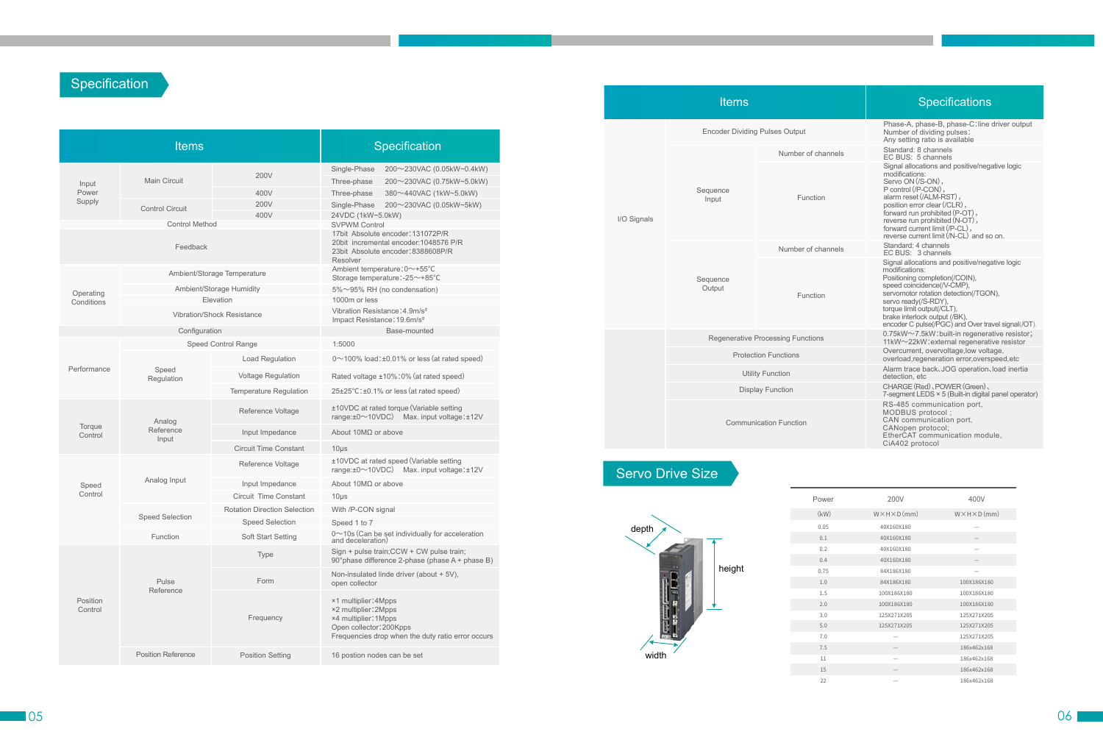## **Specification**

#### **Items**

|                     | <b>Items</b>              |                                     | Specification                                                                                                                                        |  |  |  |  |  |
|---------------------|---------------------------|-------------------------------------|------------------------------------------------------------------------------------------------------------------------------------------------------|--|--|--|--|--|
|                     | Main Circuit              | 200V                                | Single-Phase<br>200~230VAC (0.05kW~0.4kW)<br>Three-phase<br>200~230VAC (0.75kW~5.0kW)                                                                |  |  |  |  |  |
| Input<br>Power      |                           | 400V                                | Three-phase<br>380~440VAC (1kW~5.0kW)                                                                                                                |  |  |  |  |  |
| Supply              |                           | 200V                                | Single-Phase<br>200~230VAC (0.05kW~5kW)                                                                                                              |  |  |  |  |  |
|                     | <b>Control Circuit</b>    | 400V                                | 24VDC (1kW~5.0kW)                                                                                                                                    |  |  |  |  |  |
|                     | <b>Control Method</b>     |                                     | <b>SVPWM Control</b>                                                                                                                                 |  |  |  |  |  |
|                     | Feedback                  |                                     | 17bit Absolute encoder: 131072P/R<br>20bit incremental encoder: 1048576 P/R<br>23bit Absolute encoder: 8388608P/R<br>Resolver                        |  |  |  |  |  |
|                     |                           | Ambient/Storage Temperature         | Ambient temperature: 0~+55°C<br>Storage temperature:-25~+85°C                                                                                        |  |  |  |  |  |
| Operating           |                           | Ambient/Storage Humidity            | 5%~95% RH (no condensation)                                                                                                                          |  |  |  |  |  |
| Conditions          |                           | Elevation                           | 1000m or less                                                                                                                                        |  |  |  |  |  |
|                     |                           | <b>Vibration/Shock Resistance</b>   | Vibration Resistance: 4.9m/s <sup>2</sup><br>Impact Resistance: 19.6m/s <sup>2</sup>                                                                 |  |  |  |  |  |
|                     | Configuration             |                                     | Base-mounted                                                                                                                                         |  |  |  |  |  |
|                     |                           | Speed Control Range                 | 1:5000                                                                                                                                               |  |  |  |  |  |
| Performance         |                           | <b>Load Regulation</b>              | $0 \sim 100\%$ load: $\pm 0.01\%$ or less (at rated speed)                                                                                           |  |  |  |  |  |
|                     | Speed<br>Regulation       | Voltage Regulation                  | Rated voltage ±10%:0% (at rated speed)                                                                                                               |  |  |  |  |  |
|                     |                           | <b>Temperature Regulation</b>       | 25±25°C:±0.1% or less (at rated speed)                                                                                                               |  |  |  |  |  |
|                     | Analog                    | Reference Voltage                   | ±10VDC at rated torque (Variable setting<br>range: ±0~10VDC) Max. input voltage: ±12V                                                                |  |  |  |  |  |
| Torque<br>Control   | Reference<br>Input        | Input Impedance                     | About 10MΩ or above                                                                                                                                  |  |  |  |  |  |
|                     |                           | <b>Circuit Time Constant</b>        | $10\mus$                                                                                                                                             |  |  |  |  |  |
|                     |                           | Reference Voltage                   | ±10VDC at rated speed (Variable setting<br>range: ±0~10VDC) Max. input voltage: ±12V                                                                 |  |  |  |  |  |
| Speed               | Analog Input              | Input Impedance                     | About $10M\Omega$ or above                                                                                                                           |  |  |  |  |  |
| Control             |                           | Circuit Time Constant               | $10\mu$ s                                                                                                                                            |  |  |  |  |  |
|                     |                           | <b>Rotation Direction Selection</b> | With /P-CON signal                                                                                                                                   |  |  |  |  |  |
|                     | Speed Selection           | <b>Speed Selection</b>              | Speed 1 to 7                                                                                                                                         |  |  |  |  |  |
|                     | Function                  | Soft Start Setting                  | $0 \sim$ 10s (Can be set individually for acceleration<br>and deceleration)                                                                          |  |  |  |  |  |
|                     |                           | <b>Type</b>                         | Sign + pulse train; CCW + CW pulse train;<br>90° phase difference 2-phase (phase A + phase B)                                                        |  |  |  |  |  |
|                     | Pulse                     | Form                                | Non-insulated linde driver (about + 5V),<br>open collector                                                                                           |  |  |  |  |  |
| Position<br>Control | Reference                 | Frequency                           | ×1 multiplier: 4Mpps<br>×2 multiplier: 2Mpps<br>×4 multiplier: 1Mpps<br>Open collector: 200Kpps<br>Frequencies drop when the duty ratio error occurs |  |  |  |  |  |
|                     | <b>Position Reference</b> | <b>Position Setting</b>             | 16 postion nodes can be set                                                                                                                          |  |  |  |  |  |
|                     |                           |                                     |                                                                                                                                                      |  |  |  |  |  |

Encoder Dividing Pulses Output I/O Signals Number of cha Sequence Input Sequence **Output** Function Regenerative Processing Functions Communication Function Function Number of cha Protection Functions Utility Function Display Function

|        | <b>Specifications</b>                                                                                                                                                                                                                                                                                                     |
|--------|---------------------------------------------------------------------------------------------------------------------------------------------------------------------------------------------------------------------------------------------------------------------------------------------------------------------------|
|        | Phase-A, phase-B, phase-C: line driver output<br>Number of dividing pulses:<br>Any setting ratio is available                                                                                                                                                                                                             |
| annels | Standard: 8 channels<br>EC BUS: 5 channels                                                                                                                                                                                                                                                                                |
| ١      | Signal allocations and positive/negative logic<br>modifications:<br>Servo ON (/S-ON),<br>P control (/P-CON),<br>alarm reset (/ALM-RST),<br>position error clear (/CLR),<br>forward run prohibited (P-OT),<br>reverse run prohibited (N-OT),<br>forward current limit (/P-CL),<br>reverse current limit (/N-CL) and so on. |
| annels | Standard: 4 channels<br>EC BUS: 3 channels                                                                                                                                                                                                                                                                                |
| Ì      | Signal allocations and positive/negative logic<br>modifications:<br>Positioning completion(/COIN),<br>speed coincidence(/V-CMP),<br>servomotor rotation detection(/TGON),<br>servo ready(/S-RDY),<br>torque limit output(/CLT),<br>brake interlock output (/BK),<br>encoder C pulse(/PGC) and Over travel signal(/OT).    |
|        | 0.75kW~7.5kW:built-in regenerative resistor;<br>11kW~22kW: external regenerative resistor                                                                                                                                                                                                                                 |
|        | Overcurrent, overvoltage, low voltage,<br>overload, regeneration error, overspeed, etc                                                                                                                                                                                                                                    |
|        | Alarm trace back, JOG operation, load inertia<br>detection, etc                                                                                                                                                                                                                                                           |
|        | CHARGE (Red), POWER (Green),<br>7-segment LEDS × 5 (Built-in digital panel operator)                                                                                                                                                                                                                                      |
|        | RS-485 communication port,<br>MODBUS protocol;<br>CAN communication port,<br>CANopen protocol;<br>EtherCAT communication module,<br>CiA402 protocol                                                                                                                                                                       |

# Servo Drive Size





| ower | 200V                       | 400V                       |
|------|----------------------------|----------------------------|
| kW)  | $W \times H \times D$ (mm) | $W \times H \times D$ (mm) |
| 0.05 | 40X160X180                 |                            |
| 0.1  | 40X160X180                 |                            |
| 0.2  | 40X160X180                 |                            |
| 0.4  | 40X160X180                 |                            |
| 0.75 | 84X186X180                 |                            |
| 1.0  | 84X186X180                 | 100X186X180                |
| 1.5  | 100X186X180                | 100X186X180                |
| 2.0  | 100X186X180                | 100X186X180                |
| 3.0  | 125X271X205                | 125X271X205                |
| 5.0  | 125X271X205                | 125X271X205                |
| 7.0  |                            | 125X271X205                |
| 7.5  |                            | 186x462x168                |
| 11   |                            | 186x462x168                |
| 15   |                            | 186x462x168                |
| 22   |                            | 186x462x168                |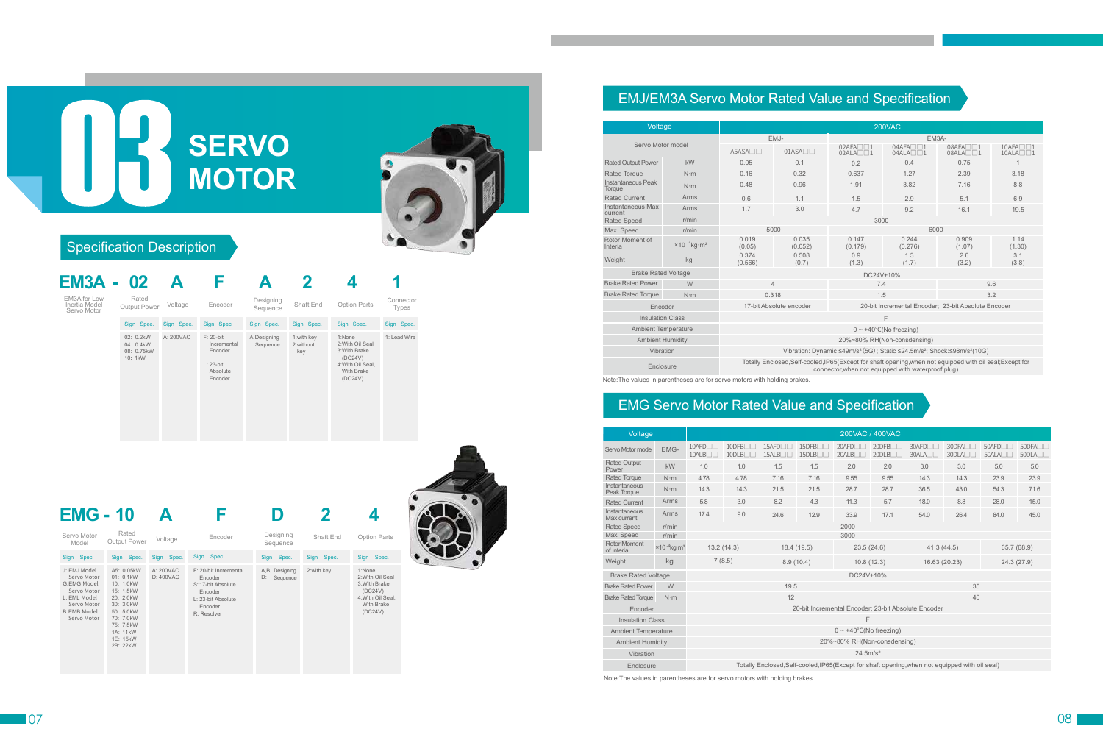| <b>EM3A - 02</b>                             |                                                 |            | ь                                                                             |                         |                                |                                                                                                             |                    |
|----------------------------------------------|-------------------------------------------------|------------|-------------------------------------------------------------------------------|-------------------------|--------------------------------|-------------------------------------------------------------------------------------------------------------|--------------------|
| EM3A for Low<br>Inertia Model<br>Servo Motor | Rated<br>Output Power                           | Voltage    | Encoder                                                                       | Designing<br>Sequence   | Shaft End                      | Option Parts                                                                                                | Connector<br>Types |
|                                              | Sign Spec.                                      | Sign Spec. | Sign Spec.                                                                    | Sign Spec.              | Sign Spec.                     | Sign Spec.                                                                                                  | Sign Spec.         |
|                                              | 02: 0.2kW<br>04: 0.4kW<br>08: 0.75kW<br>10: 1kW | A: 200VAC  | $F: 20$ -bit<br>Incremental<br>Encoder<br>$L: 23$ -bit<br>Absolute<br>Encoder | A:Designing<br>Sequence | 1:with key<br>2:without<br>key | 1:None<br>2: With Oil Seal<br>3: With Brake<br>(DC24V)<br>4: With Oil Seal,<br><b>With Brake</b><br>(DC24V) | 1: Lead Wire       |

| Servo Motor<br>Model                                                                                                          | Rated<br><b>Output Power</b>                                                                                                                           | Voltage               | Encoder                                                                                                           | Designing<br>Sequence            | Shaft End   | <b>Option Parts</b>                                                                                         |
|-------------------------------------------------------------------------------------------------------------------------------|--------------------------------------------------------------------------------------------------------------------------------------------------------|-----------------------|-------------------------------------------------------------------------------------------------------------------|----------------------------------|-------------|-------------------------------------------------------------------------------------------------------------|
| Sign Spec.                                                                                                                    | Sign Spec.                                                                                                                                             | Sign Spec.            | Sign Spec.                                                                                                        | Sign Spec.                       | Sign Spec.  | Sign Spec.                                                                                                  |
| J: EMJ Model<br>Servo Motor<br>G:EMG Model<br>Servo Motor<br>L: EML Model<br>Servo Motor<br><b>B:EMB Model</b><br>Servo Motor | A5: 0.05kW<br>01: 0.1kW<br>10: 1.0kW<br>15: 1.5kW<br>20: 2.0kW<br>30: 3.0kW<br>50: 5.0kW<br>70: 7.0kW<br>75: 7.5kW<br>1A: 11kW<br>1E: 15kW<br>2B: 22kW | A: 200VAC<br>D:400VAC | F: 20-bit Incremental<br>Encoder<br>S: 17-bit Absolute<br>Encoder<br>L: 23-bit Absolute<br>Encoder<br>R: Resolver | A,B, Designing<br>D:<br>Sequence | 2: with key | 1:None<br>2: With Oil Seal<br>3: With Brake<br>(DC24V)<br>4: With Oil Seal,<br><b>With Brake</b><br>(DC24V) |

# **EMG - 10 A F D 2 4**

# Specification Description

# **SERVO MOTOR**



# EMJ/EM3A Servo Motor Rated Value and Specification

## EMG Servo Motor Rated Value and Specification

Note:The values in parentheses are for servo motors with holding brakes.

| Voltage                      |                              | 200VAC                                                                                                      |                         |                                                                                                                                                                 |                                     |                                                     |                                 |  |  |  |  |  |
|------------------------------|------------------------------|-------------------------------------------------------------------------------------------------------------|-------------------------|-----------------------------------------------------------------------------------------------------------------------------------------------------------------|-------------------------------------|-----------------------------------------------------|---------------------------------|--|--|--|--|--|
|                              |                              |                                                                                                             | EMJ-                    |                                                                                                                                                                 | EM3A-                               |                                                     |                                 |  |  |  |  |  |
| Servo Motor model            |                              | $A5ASA \Box \Box$                                                                                           | $01ASA \Box$            | $02AFA \Box 1$                                                                                                                                                  | $04AFA \n\n04ALA \n\n1$             | 08AFA□□1<br>$08ALA$ $\neg$ $\neg$                   | 10AFA□□1<br>$10ALA \Box \Box 1$ |  |  |  |  |  |
| <b>Rated Output Power</b>    | kW                           | 0.05                                                                                                        | 0.1                     | 0.2                                                                                                                                                             | 0.4                                 | 0.75                                                | $\overline{1}$                  |  |  |  |  |  |
| <b>Rated Torque</b>          | $N \cdot m$                  | 0.16                                                                                                        | 0.32                    | 0.637                                                                                                                                                           | 1.27                                | 2.39                                                | 3.18                            |  |  |  |  |  |
| Instantaneous Peak<br>Torque | $N \cdot m$                  | 0.48                                                                                                        | 0.96                    | 1.91                                                                                                                                                            | 3.82                                | 7.16                                                | 8.8                             |  |  |  |  |  |
| <b>Rated Current</b>         | Arms                         | 0.6                                                                                                         | 1.1                     | 1.5                                                                                                                                                             | 2.9                                 | 5.1                                                 | 6.9                             |  |  |  |  |  |
| Instantaneous Max<br>current | Arms                         | 1.7                                                                                                         | 3.0                     | 4.7                                                                                                                                                             | 9.2                                 | 16.1                                                | 19.5                            |  |  |  |  |  |
| <b>Rated Speed</b>           | r/min                        |                                                                                                             |                         |                                                                                                                                                                 |                                     |                                                     |                                 |  |  |  |  |  |
| Max. Speed                   | r/min                        | 5000                                                                                                        |                         |                                                                                                                                                                 | 6000                                |                                                     |                                 |  |  |  |  |  |
| Rotor Moment of<br>Interia   | $×10^{-4}$ kg·m <sup>2</sup> | 0.019<br>(0.05)                                                                                             | 0.035<br>(0.052)        | 0.147<br>(0.179)                                                                                                                                                | 0.244<br>(0.276)                    | 0.909<br>(1.07)                                     | 1.14<br>(1.30)                  |  |  |  |  |  |
| Weight                       | kg                           | 0.374<br>(0.566)                                                                                            | 0.508<br>(0.7)          | 0.9<br>(1.3)                                                                                                                                                    | 1.3<br>(1.7)                        | 2.6<br>(3.2)                                        | 3.1<br>(3.8)                    |  |  |  |  |  |
| <b>Brake Rated Voltage</b>   |                              |                                                                                                             |                         | DC24V±10%                                                                                                                                                       |                                     |                                                     |                                 |  |  |  |  |  |
| <b>Brake Rated Power</b>     | W                            | $\overline{4}$                                                                                              |                         | 7.4                                                                                                                                                             |                                     | 9.6                                                 |                                 |  |  |  |  |  |
| <b>Brake Rated Torque</b>    | $N \cdot m$                  | 0.318                                                                                                       |                         | 1.5                                                                                                                                                             |                                     | 3.2                                                 |                                 |  |  |  |  |  |
|                              | Encoder                      |                                                                                                             | 17-bit Absolute encoder |                                                                                                                                                                 |                                     | 20-bit Incremental Encoder; 23-bit Absolute Encoder |                                 |  |  |  |  |  |
| <b>Insulation Class</b>      |                              |                                                                                                             |                         |                                                                                                                                                                 | F                                   |                                                     |                                 |  |  |  |  |  |
| <b>Ambient Temperature</b>   |                              |                                                                                                             |                         |                                                                                                                                                                 | $0 \sim +40^{\circ}$ C(No freezing) |                                                     |                                 |  |  |  |  |  |
|                              | <b>Ambient Humidity</b>      |                                                                                                             |                         |                                                                                                                                                                 | 20%~80% RH(Non-consdensing)         |                                                     |                                 |  |  |  |  |  |
|                              | Vibration                    | Vibration: Dynamic ≤49m/s <sup>2</sup> (5G); Static ≤24.5m/s <sup>2</sup> ; Shock:≤98m/s <sup>2</sup> (10G) |                         |                                                                                                                                                                 |                                     |                                                     |                                 |  |  |  |  |  |
| Enclosure                    |                              |                                                                                                             |                         | Totally Enclosed, Self-cooled, IP65(Except for shaft opening, when not equipped with oil seal; Except for<br>connector, when not equipped with waterproof plug) |                                     |                                                     |                                 |  |  |  |  |  |

connector,when not equipped with waterproof plug)

Note:The values in parentheses are for servo motors with holding brakes.

| Voltage                           |                                           | 200VAC / 400VAC          |                                        |                                          |                                                     |                                     |                                    |                             |                                                                                                 |                          |                                        |  |  |
|-----------------------------------|-------------------------------------------|--------------------------|----------------------------------------|------------------------------------------|-----------------------------------------------------|-------------------------------------|------------------------------------|-----------------------------|-------------------------------------------------------------------------------------------------|--------------------------|----------------------------------------|--|--|
| Servo Motor model                 | EMG-                                      | $10$ AFD $\Box$<br>10ALB | 10DFB <sub>II</sub><br>$10$ DLB $\Box$ | 15AFD <sub>I</sub><br>15ALB <sub>I</sub> | 15DFB <sub>II</sub><br>15DLB                        | 20AFD <sub>I</sub><br>20ALB         | $20$ DFB $\Box$<br>$20$ DLB $\Box$ | 30AFD <sub>I</sub><br>30ALA | 30DFA<br>$30DL$ A $\Box$                                                                        | $50$ AFD $\neg$<br>50ALA | 50DFA <sub>II</sub><br>$50DL$ A $\Box$ |  |  |
| <b>Rated Output</b><br>Power      | kW                                        | 1.0                      | 1.0                                    | 1.5                                      | 1.5                                                 | 2.0                                 | 2.0                                | 3.0                         | 3.0                                                                                             | 5.0                      | 5.0                                    |  |  |
| <b>Rated Torque</b>               | $N \cdot m$                               | 4.78                     | 4.78                                   | 7.16                                     | 7.16                                                | 9.55                                | 9.55                               | 14.3                        | 14.3                                                                                            | 23.9                     | 23.9                                   |  |  |
| Instantaneous<br>Peak Torque      | $N \cdot m$                               | 14.3                     | 14.3                                   | 21.5                                     | 21.5                                                | 28.7                                | 28.7                               | 36.5                        | 43.0                                                                                            | 54.3                     | 71.6                                   |  |  |
| <b>Rated Current</b>              | Arms                                      | 5.8                      | 3.0                                    | 8.2                                      | 4.3                                                 | 11.3                                | 5.7                                | 18.0                        | 8.8                                                                                             | 28.0                     | 15.0                                   |  |  |
| Instantaneous<br>Max current      | Arms                                      | 17.4                     | 9.0                                    | 24.6                                     | 12.9                                                | 33.9                                | 17.1                               | 54.0                        | 26.4                                                                                            | 84.0                     | 45.0                                   |  |  |
| <b>Rated Speed</b>                | r/min                                     |                          | 2000                                   |                                          |                                                     |                                     |                                    |                             |                                                                                                 |                          |                                        |  |  |
| Max. Speed                        | r/min                                     |                          |                                        |                                          |                                                     | 3000                                |                                    |                             |                                                                                                 |                          |                                        |  |  |
| <b>Rotor Moment</b><br>of Interia | $\times$ 10 $4$ kg $\cdot$ m <sup>2</sup> |                          | 13.2(14.3)                             | 18.4 (19.5)                              |                                                     | 23.5(24.6)                          |                                    | 41.3(44.5)                  |                                                                                                 |                          | 65.7 (68.9)                            |  |  |
| Weight                            | kg                                        |                          | 7(8.5)                                 | 8.9(10.4)                                |                                                     | 10.8(12.3)                          |                                    | 16.63 (20.23)               |                                                                                                 |                          | 24.3(27.9)                             |  |  |
| <b>Brake Rated Voltage</b>        |                                           |                          |                                        |                                          |                                                     | DC24V±10%                           |                                    |                             |                                                                                                 |                          |                                        |  |  |
| <b>Brake Rated Power</b>          | W                                         |                          |                                        | 19.5                                     |                                                     |                                     |                                    |                             | 35                                                                                              |                          |                                        |  |  |
| <b>Brake Rated Torque</b>         | $N \cdot m$                               |                          |                                        | 12                                       |                                                     |                                     |                                    |                             | 40                                                                                              |                          |                                        |  |  |
| Encoder                           |                                           |                          |                                        |                                          | 20-bit Incremental Encoder: 23-bit Absolute Encoder |                                     |                                    |                             |                                                                                                 |                          |                                        |  |  |
| <b>Insulation Class</b>           |                                           |                          |                                        |                                          |                                                     | F                                   |                                    |                             |                                                                                                 |                          |                                        |  |  |
| <b>Ambient Temperature</b>        |                                           |                          |                                        |                                          |                                                     | $0 \sim +40^{\circ}$ C(No freezing) |                                    |                             |                                                                                                 |                          |                                        |  |  |
| <b>Ambient Humidity</b>           |                                           |                          |                                        |                                          |                                                     | 20%~80% RH(Non-consdensing)         |                                    |                             |                                                                                                 |                          |                                        |  |  |
| Vibration                         |                                           |                          |                                        |                                          |                                                     | 24.5m/s <sup>2</sup>                |                                    |                             |                                                                                                 |                          |                                        |  |  |
| Enclosure                         |                                           |                          |                                        |                                          |                                                     |                                     |                                    |                             | Totally Enclosed, Self-cooled, IP65 (Except for shaft opening, when not equipped with oil seal) |                          |                                        |  |  |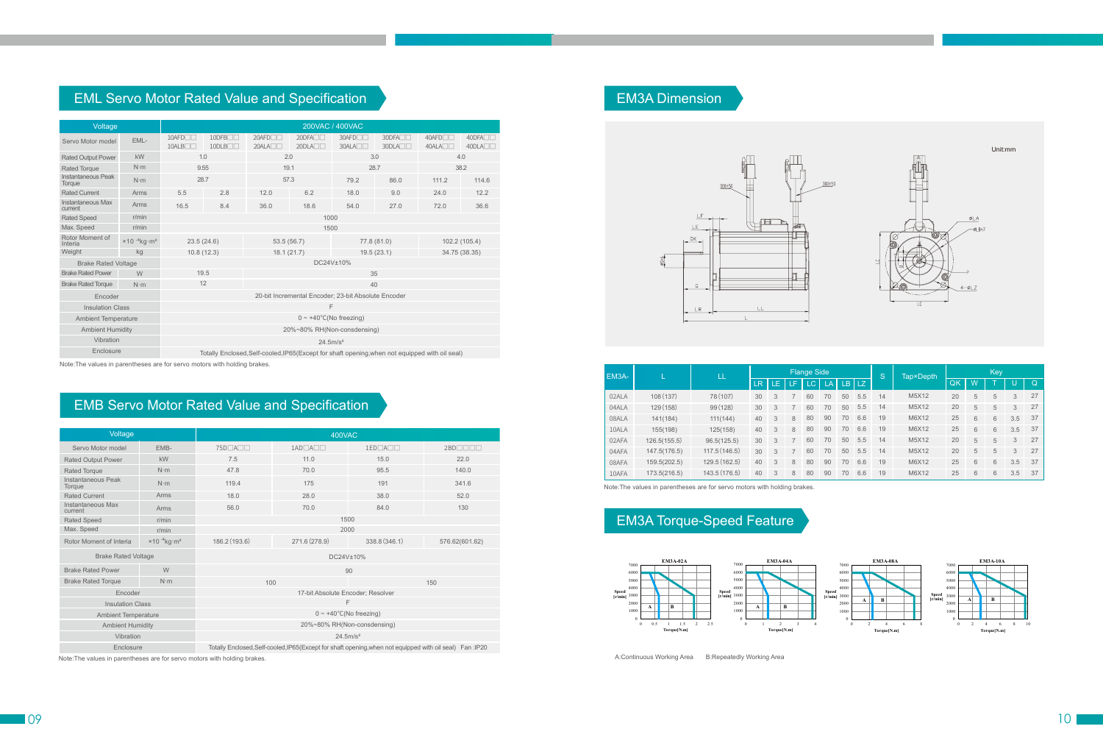## EML Servo Motor Rated Value and Specification

#### EMB Servo Motor Rated Value and Specification

Note:The values in parentheses are for servo motors with holding brakes.

Note:The values in parentheses are for servo motors with holding brakes.

| Voltage                      |                | 200VAC / 400VAC                       |                                    |                                                                                                |                                 |                                                     |                                        |                          |                                             |  |  |  |
|------------------------------|----------------|---------------------------------------|------------------------------------|------------------------------------------------------------------------------------------------|---------------------------------|-----------------------------------------------------|----------------------------------------|--------------------------|---------------------------------------------|--|--|--|
| Servo Motor model            | EML-           | $10$ AFD $\neg$<br>10ALB <sub>I</sub> | $10$ DFB $\Box$<br>$10$ DLB $\Box$ | $20$ AFD $\neg$<br>$20ALA \Box \Box$                                                           | $20DFA \Box$<br>$20DL$ A $\Box$ | 30AFD <sub>I</sub><br>30ALA                         | 30DFA <sub>II</sub><br>$30DL$ A $\Box$ | $40$ AFD $\neg$<br>40ALA | 40DFA <sub>II</sub><br>40DLA <sub>III</sub> |  |  |  |
| <b>Rated Output Power</b>    | kW             | 1.0                                   |                                    | 2.0                                                                                            |                                 |                                                     | 3.0<br>4.0                             |                          |                                             |  |  |  |
| <b>Rated Torque</b>          | $N \cdot m$    | 9.55                                  |                                    | 19.1                                                                                           |                                 | 28.7                                                |                                        | 38.2                     |                                             |  |  |  |
| Instantaneous Peak<br>Torque | $N \cdot m$    | 28.7                                  |                                    | 57.3                                                                                           |                                 | 79.2                                                | 86.0                                   | 111.2                    | 114.6                                       |  |  |  |
| <b>Rated Current</b>         | Arms           | 5.5                                   | 2.8                                | 12.0                                                                                           | 6.2                             | 18.0                                                | 9.0                                    | 24.0                     | 12.2                                        |  |  |  |
| Instantaneous Max<br>current | Arms           | 16.5                                  | 8.4                                | 36.0                                                                                           | 18.6                            | 54.0                                                | 27.0                                   | 72.0                     | 36.6                                        |  |  |  |
| <b>Rated Speed</b>           | r/min          |                                       | 1000                               |                                                                                                |                                 |                                                     |                                        |                          |                                             |  |  |  |
| Max. Speed                   | r/min          |                                       |                                    |                                                                                                | 1500                            |                                                     |                                        |                          |                                             |  |  |  |
| Rotor Moment of<br>Interia   | $×10-4kg·m2$ . | 23.5(24.6)                            |                                    | 53.5(56.7)                                                                                     |                                 |                                                     | 77.8 (81.0)                            |                          | 102.2 (105.4)                               |  |  |  |
| Weight                       | kg             | 10.8(12.3)                            |                                    | 18.1(21.7)<br>19.5(23.1)                                                                       |                                 |                                                     |                                        |                          | 34.75 (38.35)                               |  |  |  |
| <b>Brake Rated Voltage</b>   |                |                                       |                                    |                                                                                                |                                 | DC24V±10%                                           |                                        |                          |                                             |  |  |  |
| <b>Brake Rated Power</b>     | W              | 19.5                                  |                                    |                                                                                                |                                 | 35                                                  |                                        |                          |                                             |  |  |  |
| <b>Brake Rated Torque</b>    | $N \cdot m$    | 12                                    |                                    |                                                                                                |                                 | 40                                                  |                                        |                          |                                             |  |  |  |
| Encoder                      |                |                                       |                                    |                                                                                                |                                 | 20-bit Incremental Encoder; 23-bit Absolute Encoder |                                        |                          |                                             |  |  |  |
| <b>Insulation Class</b>      |                |                                       |                                    |                                                                                                | F                               |                                                     |                                        |                          |                                             |  |  |  |
| <b>Ambient Temperature</b>   |                |                                       |                                    |                                                                                                |                                 | $0 \sim +40^{\circ}$ C(No freezing)                 |                                        |                          |                                             |  |  |  |
| <b>Ambient Humidity</b>      |                |                                       | 20%~80% RH(Non-consdensing)        |                                                                                                |                                 |                                                     |                                        |                          |                                             |  |  |  |
| Vibration                    |                |                                       |                                    |                                                                                                | 24.5 m/s <sup>2</sup>           |                                                     |                                        |                          |                                             |  |  |  |
| Enclosure                    |                |                                       |                                    | Totally Enclosed, Self-cooled, IP65(Except for shaft opening, when not equipped with oil seal) |                                 |                                                     |                                        |                          |                                             |  |  |  |

Note:The values in parentheses are for servo motors with holding brakes.

# EM3A Dimension



## EM3A Torque-Speed Feature

A:Continuous Working Area B:Repeatedly Working Area



| Voltage                      |                                               | 400VAC                              |                                                                                                           |               |                            |  |  |  |  |  |  |
|------------------------------|-----------------------------------------------|-------------------------------------|-----------------------------------------------------------------------------------------------------------|---------------|----------------------------|--|--|--|--|--|--|
| Servo Motor model            | EMB-                                          | 75D□A□□                             | $1AD\Box A\Box\Box$                                                                                       | 1ED□A□□       | $2BD$ $\Box$ $\Box$ $\Box$ |  |  |  |  |  |  |
| <b>Rated Output Power</b>    | kW                                            | 7.5                                 | 11.0                                                                                                      | 15.0          | 22.0                       |  |  |  |  |  |  |
| <b>Rated Torque</b>          | $N \cdot m$                                   | 47.8                                | 70.0                                                                                                      | 95.5          | 140.0                      |  |  |  |  |  |  |
| Instantaneous Peak<br>Torque | $N \cdot m$                                   | 119.4                               | 175                                                                                                       | 191           | 341.6                      |  |  |  |  |  |  |
| <b>Rated Current</b>         | Arms                                          | 18.0                                | 28.0                                                                                                      | 38.0          | 52.0                       |  |  |  |  |  |  |
| Instantaneous Max<br>current | Arms                                          | 56.0                                | 70.0                                                                                                      | 84.0          | 130                        |  |  |  |  |  |  |
| <b>Rated Speed</b>           | r/min                                         | 1500                                |                                                                                                           |               |                            |  |  |  |  |  |  |
| Max. Speed                   | r/min                                         | 2000                                |                                                                                                           |               |                            |  |  |  |  |  |  |
| Rotor Moment of Interia      | $\times$ 10 <sup>-4</sup> kg · m <sup>2</sup> | 186.2 (193.6)                       | 271.6 (278.9)                                                                                             | 338.8 (346.1) | 576.62(601.62)             |  |  |  |  |  |  |
| <b>Brake Rated Voltage</b>   |                                               | DC24V±10%                           |                                                                                                           |               |                            |  |  |  |  |  |  |
| <b>Brake Rated Power</b>     | W                                             |                                     |                                                                                                           | 90            |                            |  |  |  |  |  |  |
| <b>Brake Rated Torque</b>    | $N \cdot m$                                   | 100                                 |                                                                                                           |               | 150                        |  |  |  |  |  |  |
| Encoder                      |                                               |                                     | 17-bit Absolute Encoder; Resolver                                                                         |               |                            |  |  |  |  |  |  |
| <b>Insulation Class</b>      |                                               |                                     | F                                                                                                         |               |                            |  |  |  |  |  |  |
| <b>Ambient Temperature</b>   |                                               | $0 \sim +40^{\circ}$ C(No freezing) |                                                                                                           |               |                            |  |  |  |  |  |  |
| <b>Ambient Humidity</b>      |                                               | 20%~80% RH(Non-consdensing)         |                                                                                                           |               |                            |  |  |  |  |  |  |
| Vibration                    |                                               | 24.5 m/s <sup>2</sup>               |                                                                                                           |               |                            |  |  |  |  |  |  |
| Enclosure                    |                                               |                                     | Totally Enclosed, Self-cooled, IP65(Except for shaft opening, when not equipped with oil seal) Fan : IP20 |               |                            |  |  |  |  |  |  |



09 and 10 and 20 and 20 and 20 and 20 and 20 and 20 and 20 and 20 and 20 and 20 and 20 and 20 and 20 and 20 an

| EM <sub>3</sub> A- |              | LL           |    |    |     | <b>Flange Side</b> |    |     |     | S  | <b>Tap×Depth</b> |     | Key |   |     |          |  |  |
|--------------------|--------------|--------------|----|----|-----|--------------------|----|-----|-----|----|------------------|-----|-----|---|-----|----------|--|--|
|                    |              |              | ΊR | LE | LF. | <b>LC</b>          | LA | LB. | LZ  |    |                  | ΙQΚ | W   |   |     | $\Omega$ |  |  |
| 02ALA              | 108(137)     | 78 (107)     | 30 | 3  |     | 60                 | 70 | 50  | 5.5 | 14 | M5X12            | 20  | 5   | 5 | 3   | 27       |  |  |
| 04ALA              | 129(158)     | 99(128)      | 30 | 3  |     | 60                 | 70 | 50  | 5.5 | 14 | M5X12            | 20  | 5   | 5 | 3   | 27       |  |  |
| 08ALA              | 141(184)     | 111(144)     | 40 | 3  | 8   | 80                 | 90 | 70  | 6.6 | 19 | M6X12            | 25  | 6   | 6 | 3.5 | 37       |  |  |
| 10ALA              | 155(198)     | 125(158)     | 40 | 3  | 8   | 80                 | 90 | 70  | 6.6 | 19 | M6X12            | 25  | 6   | 6 | 3.5 | 37       |  |  |
| 02AFA              | 126.5(155.5) | 96.5(125.5)  | 30 | 3  |     | 60                 | 70 | 50  | 5.5 | 14 | M5X12            | 20  | 5   | 5 | 3   | 27       |  |  |
| 04AFA              | 147.5(176.5) | 117.5(146.5) | 30 | 3  |     | 60                 | 70 | 50  | 5.5 | 14 | M5X12            | 20  | 5   | 5 | 3   | 27       |  |  |
| 08AFA              | 159.5(202.5) | 129.5(162.5) | 40 | 3  | 8   | 80                 | 90 | 70  | 6.6 | 19 | M6X12            | 25  | 6   | 6 | 3.5 | 37       |  |  |
| 10AFA              | 173.5(216.5) | 143.5(176.5) | 40 | 3  | 8   | 80                 | 90 | 70  | 6.6 | 19 | M6X12            | 25  | 6   | 6 | 3.5 | 37       |  |  |

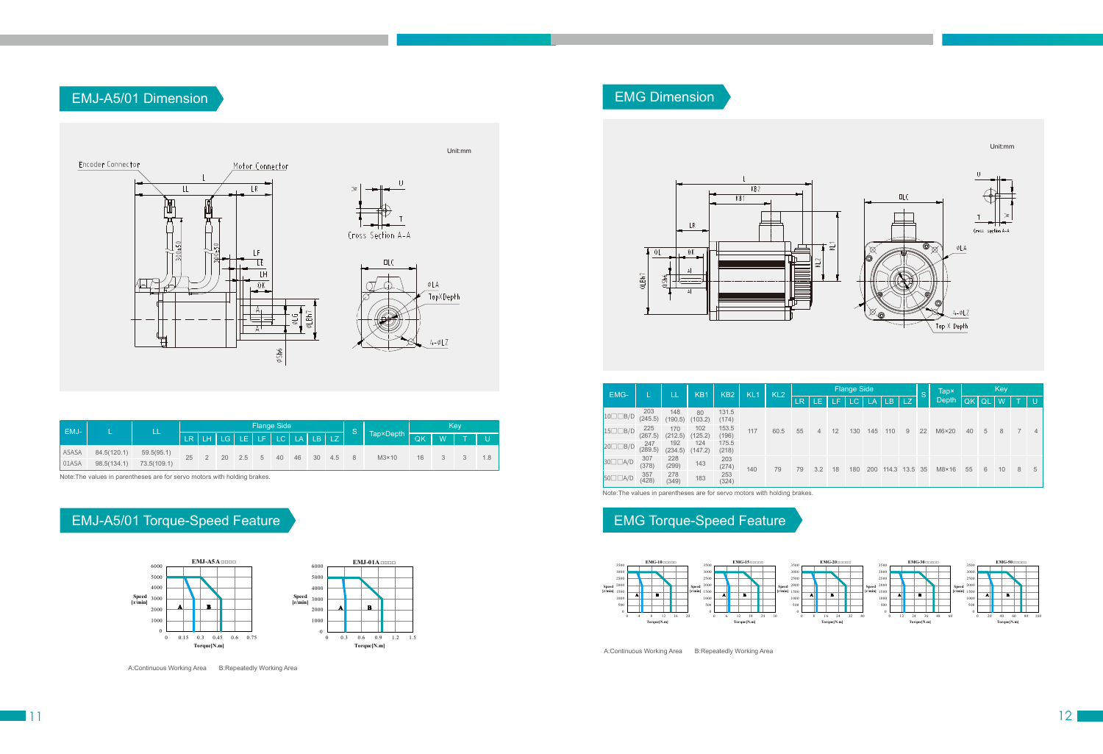Note:The values in parentheses are for servo motors with holding brakes.

Note:The values in parentheses are for servo motors with holding brakes.



#### EMJ-A5/01 Torque-Speed Feature

| EMJ-  |             | LL          |    |                            |  |            | <b>Flange Side</b> |       |     |  |                    | Key |  |       |     |  |  |  |
|-------|-------------|-------------|----|----------------------------|--|------------|--------------------|-------|-----|--|--------------------|-----|--|-------|-----|--|--|--|
|       |             |             |    | ER LH LG LE LF LC LA LB LZ |  |            |                    |       |     |  | $Tap \times Depth$ | QK  |  | W T U |     |  |  |  |
| A5ASA | 84.5(120.1) | 59.5(95.1)  | 25 | 20                         |  | $2.5$ 5 40 |                    | 46 30 | 4.5 |  | $M3\times10$       | 16  |  |       | 1.8 |  |  |  |
| 01ASA | 98.5(134.1) | 73.5(109.1) |    |                            |  |            |                    |       |     |  |                    |     |  |       |     |  |  |  |





## EMG Dimension

# EMG Torque-Speed Feature





A:Continuous Working Area B:Repeatedly Working Area

| EMG-               |                | LL             | KB <sub>1</sub> | KB <sub>2</sub> | KL <sub>1</sub> | KL <sub>2</sub> |           |     |     | <b>Flange Side</b> |           |           |           | <sub>S</sub> | Tap×          |    | Key           |    |                |                |  |
|--------------------|----------------|----------------|-----------------|-----------------|-----------------|-----------------|-----------|-----|-----|--------------------|-----------|-----------|-----------|--------------|---------------|----|---------------|----|----------------|----------------|--|
|                    |                |                |                 |                 |                 |                 | <b>LR</b> | LE  | ÆF7 | LC.                | <b>LA</b> | <b>LB</b> | <b>LZ</b> |              | Depth         | QK | <sub>QL</sub> | W  |                | IJ             |  |
| $10 \Box \Box B/D$ | 203<br>(245.5) | 148<br>(190.5) | 80<br>(103.2)   | 131.5<br>(174)  | 117             |                 |           |     |     |                    |           |           |           |              |               |    |               |    |                |                |  |
| $15 \Box \Box B/D$ | 225<br>(267.5) | 170<br>(212.5) | 102<br>(125.2)  | 153.5<br>(196)  |                 | 60.5            | 55        | 4   | 12  | 130                | 145       | 110       | 9         | 22           | $M6\times20$  | 40 | 5             | 8  | $\overline{7}$ | $\overline{4}$ |  |
| 20□□B/D            | 247<br>(289.5) | 192<br>(234.5) | 124<br>(147.2)  | 175.5<br>(218)  |                 |                 |           |     |     |                    |           |           |           |              |               |    |               |    |                |                |  |
| $30\square$ $A/D$  | 307<br>(378)   | 228<br>(299)   | 143             | 203<br>(274)    | 140             | 79              | 79        | 3.2 | 18  | 180                | 200       | 114.3     | 13.5 35   |              | $M8\times 16$ | 55 | 6             | 10 | 8              | 5              |  |
| $50\square A/D$    | 357<br>(428)   | 278<br>(349)   | 183             | 253<br>(324)    |                 |                 |           |     |     |                    |           |           |           |              |               |    |               |    |                |                |  |



A:Continuous Working Area B:Repeatedly Working Area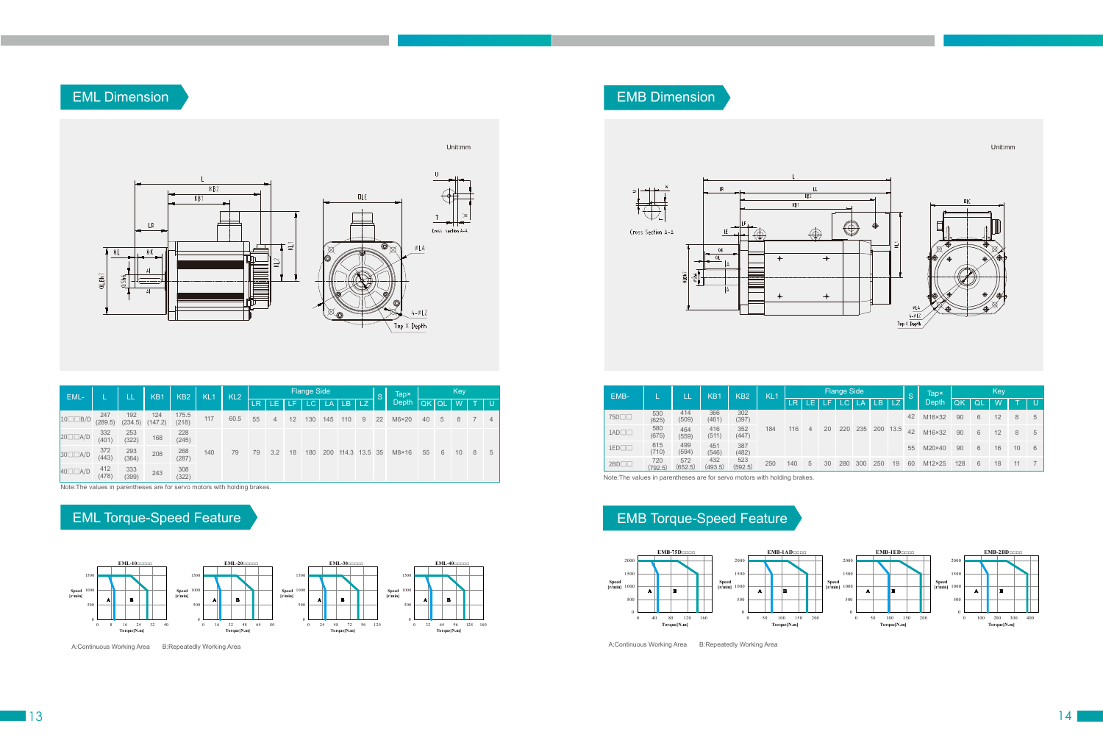## EML Dimension



## EML Torque-Speed Feature

| EML-                   |                | LL             | <b>Flange Side</b><br>KB <sub>2</sub><br>KL <sub>1</sub><br>KL <sub>2</sub><br>KB1 |                |     |      |           | <sub>S</sub> | Tapx | Key |           |               |     |    |               |              |   |    |   |   |
|------------------------|----------------|----------------|------------------------------------------------------------------------------------|----------------|-----|------|-----------|--------------|------|-----|-----------|---------------|-----|----|---------------|--------------|---|----|---|---|
|                        |                |                |                                                                                    |                |     |      | <b>LR</b> | T LE.        | LE.  | LC. | <b>LA</b> | $'$ LB        | LZ. |    | Depth         | <b>OK QL</b> |   | W  |   | U |
| $10 \Box \Box B/D$     | 247<br>(289.5) | 192<br>(234.5) | 124<br>(147.2)                                                                     | 175.5<br>(218) | 117 | 60.5 | 55        | 4            | 12   | 130 | 145       | 110           | 9   | 22 | $M6\times20$  | 40           | 5 | 8  |   | 4 |
| $20 \Box \Box A/D$     | 332<br>(401)   | 253<br>(322)   | 168                                                                                | 228<br>(245)   |     |      |           |              |      |     |           |               |     |    |               |              |   |    |   |   |
| $30\square\square A/D$ | 372<br>(443)   | 293<br>(364)   | 208                                                                                | 268<br>(287)   | 140 | 79   | 79        | 3.2          | 18   | 180 | 200       | 114.3 13.5 35 |     |    | $M8\times 16$ | 55           | 6 | 10 | 8 | 5 |
| $40\square\square A/D$ | 412<br>(478)   | 333<br>(399)   | 243                                                                                | 308<br>(322)   |     |      |           |              |      |     |           |               |     |    |               |              |   |    |   |   |



# EMB Torque-Speed Feature

EMB Dimension

| EMB-              |                | K <sub>B</sub> 1<br>KB <sub>2</sub><br>LΔ |                | KL <sub>1</sub> | <b>Flange Side</b> |     |    |    |     |           |       | S    | <b>Tapx</b> |                | Key<br><b>IQ</b><br>W<br>6<br>8<br>12<br>6<br>12<br>8<br>6<br>10<br>16 |   |    |    |   |
|-------------------|----------------|-------------------------------------------|----------------|-----------------|--------------------|-----|----|----|-----|-----------|-------|------|-------------|----------------|------------------------------------------------------------------------|---|----|----|---|
|                   |                |                                           |                |                 |                    | LR  | ÆГ | Æ  | LC. | <b>LA</b> | l LB. | LZ.  |             | Depth          | OK                                                                     |   |    |    | U |
| 75D <sub>[1</sub> | 530<br>(625)   | 414<br>(509)                              | 366<br>(461)   | 302<br>(397)    |                    |     |    |    |     |           |       |      | 42          | M16×32         | 90                                                                     |   |    |    | 5 |
| $1AD \Box \Box$   | 580<br>(675)   | 464<br>(559)                              | 416<br>(511)   | 352<br>(447)    | 184                | 116 | 4  | 20 | 220 | 235       | 200   | 13.5 | 42          | M16×32         | 90                                                                     |   |    |    | 5 |
| $1ED \Box \Box$   | 615<br>(710)   | 499<br>(594)                              | 451<br>(546)   | 387<br>(482)    |                    |     |    |    |     |           |       |      | 55          | $M20\times 40$ | 90                                                                     |   |    |    | 6 |
| $2BD \Box \Box$   | 720<br>(792.5) | 572<br>(652.5)                            | 432<br>(493.5) | 523<br>(592.5)  | 250                | 140 | 5  | 30 | 280 | 300       | 250   | 19   | 60          | M12×25         | 128                                                                    | 6 | 18 | 11 |   |



13 14





Note:The values in parentheses are for servo motors with holding brakes.

Note:The values in parentheses are for servo motors with holding brakes.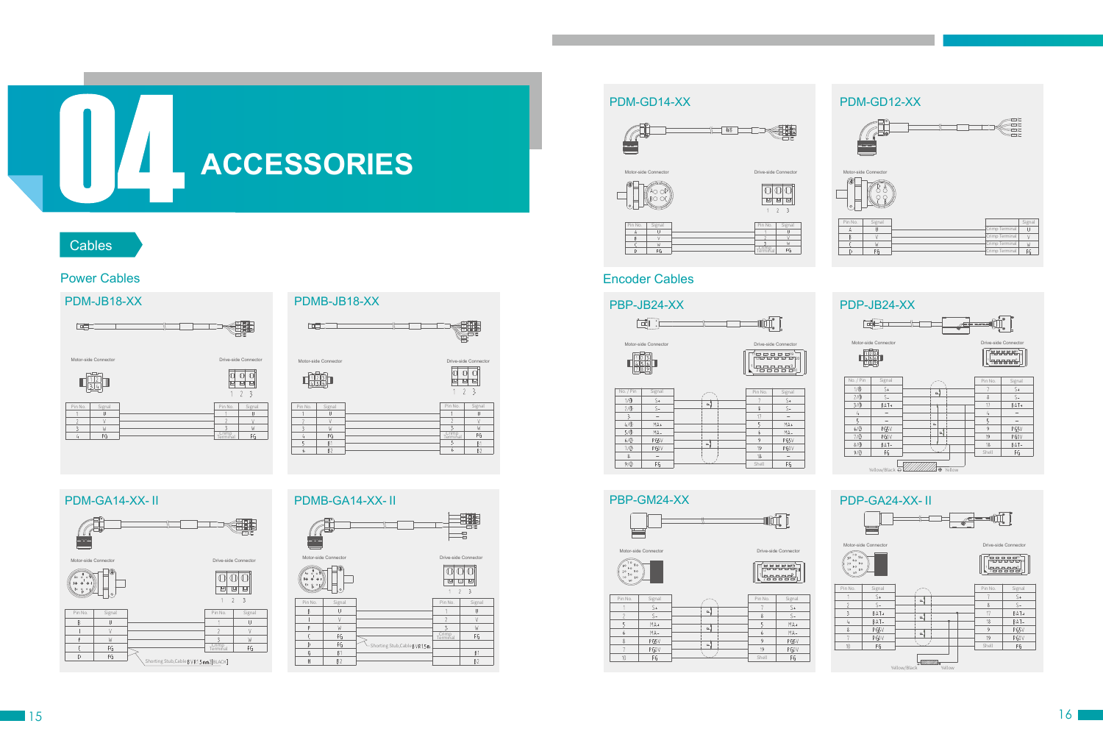# **ACCESSORIES**

#### **Cables**

#### Encoder Cables

 $9/0$ 

 $FG$ 

#### 16

#### Power Cables

#### PDM-GA14-XX-Ⅱ PDMB-GA14-XX-Ⅱ











 $\mathcal{L}$ 



#### PDM-JB18-XX PDMB-JB18-XX





Shell

 $FG$